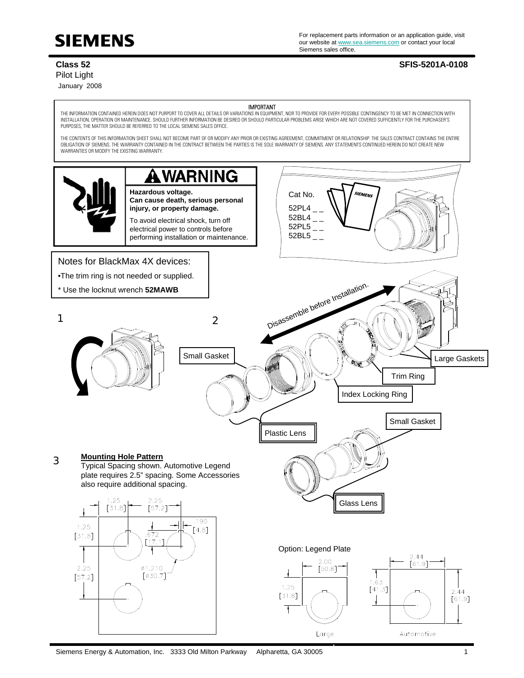

For replacement parts information or an application guide, visit For replacement parts information or an application guide, v<br>our website at <u>www.sea.siemens.com</u> or contact your local Siemens sales office.

## Pilot Light

January 2008

## **Class 52 SFIS-5201A-0108**

IMPORTANT

THE INFORMATION CONTAINED HEREIN DOES NOT PURPORT TO COVER ALL DETAILS OR VARIATIONS IN EQUIPMENT, NOR TO PROVIDE FOR EVERY POSSIBLE CONTINGENCY TO BE MET IN CONNECTION WITH INSTALLATION, OPERATION OR MAINTENANCE. SHOULD FURTHER INFORMATION BE DESIRED OR SHOULD PARTICULAR PROBLEMS ARISE WHICH ARE NOT COVERED SUFFICIENTLY FOR THE PURCHASER'S PURPOSES, THE MATTER SHOULD BE REFERRED TO THE LOCAL SIEMENS SALES OFFICE.

THE CONTENTS OF THIS INFORMATION SHEET SHALL NOT BECOME PART OF OR MODIFY ANY PRIOR OR EXISTING AGREEMENT, COMMITMENT OR RELATIONSHIP. THE SALES CONTRACT CONTAINS THE ENTIRE OBLIGATION OF SIEMENS. THE WARRANTY CONTAINED IN THE CONTRACT BETWEEN THE PARTIES IS THE SOLE WARRANTY OF SIEMENS. ANY STATEMENTS CONTINUED HEREIN DO NOT CREATE NEW WARRANTIES OR MODIFY THE EXISTING WARRANTY.